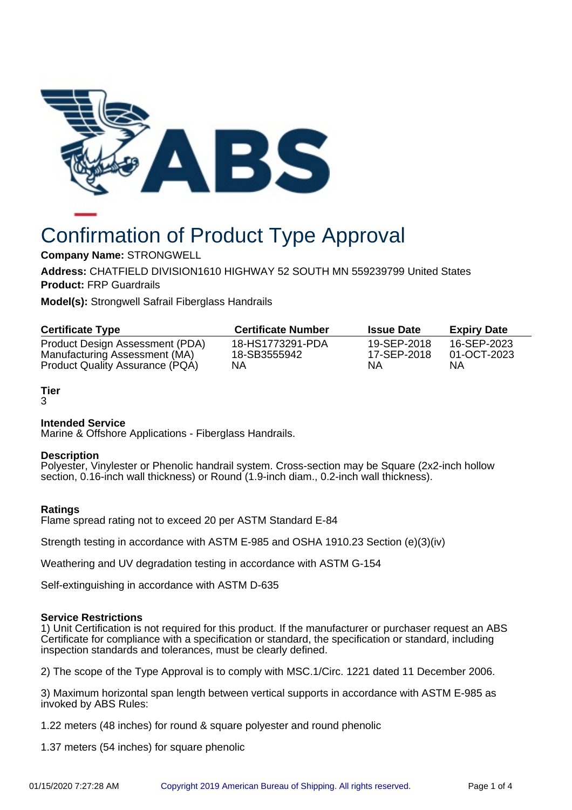

# Confirmation of Product Type Approval

**Company Name:** STRONGWELL

**Address:** CHATFIELD DIVISION1610 HIGHWAY 52 SOUTH MN 559239799 United States **Product:** FRP Guardrails

**Model(s):** Strongwell Safrail Fiberglass Handrails

| <b>Certificate Type</b>         | <b>Certificate Number</b> | <b>Issue Date</b> | <b>Expiry Date</b> |
|---------------------------------|---------------------------|-------------------|--------------------|
| Product Design Assessment (PDA) | 18-HS1773291-PDA          | 19-SEP-2018       | 16-SEP-2023        |
| Manufacturing Assessment (MA)   | 18-SB3555942              | 17-SEP-2018       | 01-OCT-2023        |
| Product Quality Assurance (PQA) | ΝA                        | ΝA                | ΝA                 |

# **Tier**

3

# **Intended Service**

Marine & Offshore Applications - Fiberglass Handrails.

## **Description**

Polyester, Vinylester or Phenolic handrail system. Cross-section may be Square (2x2-inch hollow section, 0.16-inch wall thickness) or Round (1.9-inch diam., 0.2-inch wall thickness).

# **Ratings**

Flame spread rating not to exceed 20 per ASTM Standard E-84

Strength testing in accordance with ASTM E-985 and OSHA 1910.23 Section (e)(3)(iv)

Weathering and UV degradation testing in accordance with ASTM G-154

Self-extinguishing in accordance with ASTM D-635

## **Service Restrictions**

1) Unit Certification is not required for this product. If the manufacturer or purchaser request an ABS Certificate for compliance with a specification or standard, the specification or standard, including inspection standards and tolerances, must be clearly defined.

2) The scope of the Type Approval is to comply with MSC.1/Circ. 1221 dated 11 December 2006.

3) Maximum horizontal span length between vertical supports in accordance with ASTM E-985 as invoked by ABS Rules:

1.22 meters (48 inches) for round & square polyester and round phenolic

1.37 meters (54 inches) for square phenolic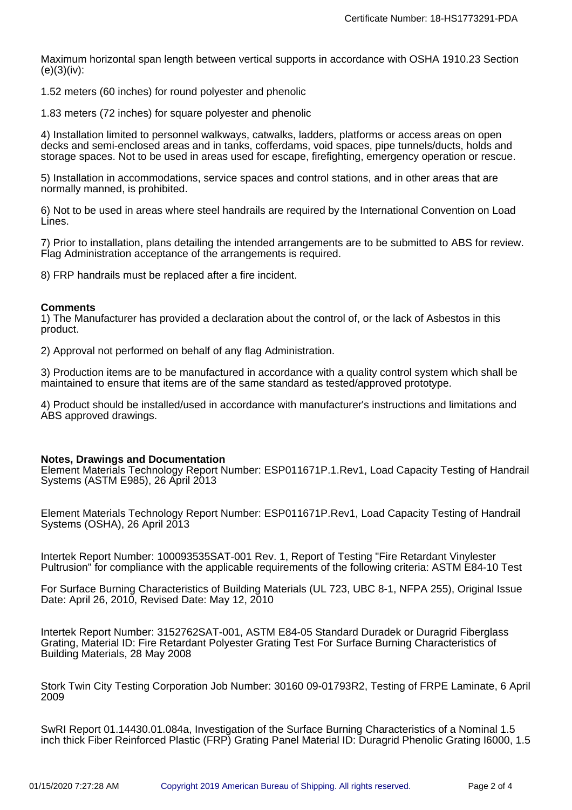Maximum horizontal span length between vertical supports in accordance with OSHA 1910.23 Section  $(e)(3)(iv)$ :

1.52 meters (60 inches) for round polyester and phenolic

1.83 meters (72 inches) for square polyester and phenolic

4) Installation limited to personnel walkways, catwalks, ladders, platforms or access areas on open decks and semi-enclosed areas and in tanks, cofferdams, void spaces, pipe tunnels/ducts, holds and storage spaces. Not to be used in areas used for escape, firefighting, emergency operation or rescue.

5) Installation in accommodations, service spaces and control stations, and in other areas that are normally manned, is prohibited.

6) Not to be used in areas where steel handrails are required by the International Convention on Load Lines.

7) Prior to installation, plans detailing the intended arrangements are to be submitted to ABS for review. Flag Administration acceptance of the arrangements is required.

8) FRP handrails must be replaced after a fire incident.

## **Comments**

1) The Manufacturer has provided a declaration about the control of, or the lack of Asbestos in this product.

2) Approval not performed on behalf of any flag Administration.

3) Production items are to be manufactured in accordance with a quality control system which shall be maintained to ensure that items are of the same standard as tested/approved prototype.

4) Product should be installed/used in accordance with manufacturer's instructions and limitations and ABS approved drawings.

#### **Notes, Drawings and Documentation**

Element Materials Technology Report Number: ESP011671P.1.Rev1, Load Capacity Testing of Handrail Systems (ASTM E985), 26 April 2013

Element Materials Technology Report Number: ESP011671P.Rev1, Load Capacity Testing of Handrail Systems (OSHA), 26 April 2013

Intertek Report Number: 100093535SAT-001 Rev. 1, Report of Testing "Fire Retardant Vinylester Pultrusion" for compliance with the applicable requirements of the following criteria: ASTM E84-10 Test

For Surface Burning Characteristics of Building Materials (UL 723, UBC 8-1, NFPA 255), Original Issue Date: April 26, 2010, Revised Date: May 12, 2010

Intertek Report Number: 3152762SAT-001, ASTM E84-05 Standard Duradek or Duragrid Fiberglass Grating, Material ID: Fire Retardant Polyester Grating Test For Surface Burning Characteristics of Building Materials, 28 May 2008

Stork Twin City Testing Corporation Job Number: 30160 09-01793R2, Testing of FRPE Laminate, 6 April 2009

SwRI Report 01.14430.01.084a, Investigation of the Surface Burning Characteristics of a Nominal 1.5 inch thick Fiber Reinforced Plastic (FRP) Grating Panel Material ID: Duragrid Phenolic Grating I6000, 1.5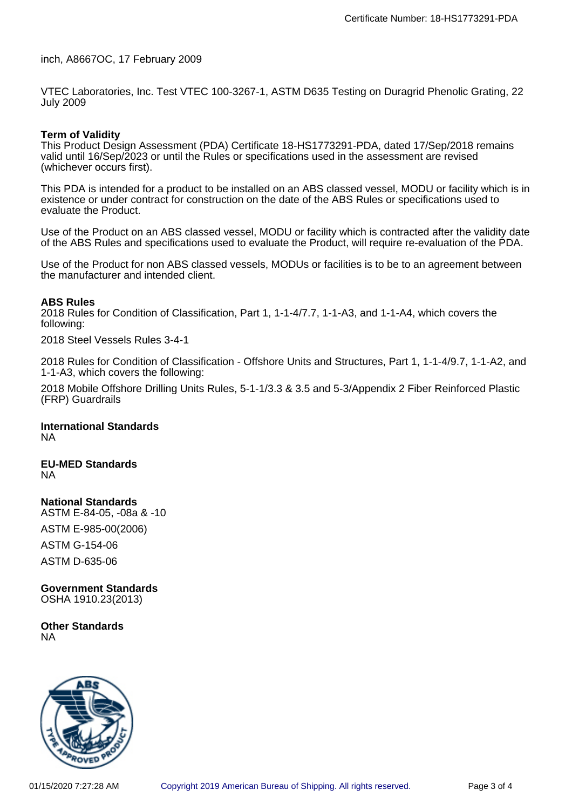inch, A8667OC, 17 February 2009

VTEC Laboratories, Inc. Test VTEC 100-3267-1, ASTM D635 Testing on Duragrid Phenolic Grating, 22 July 2009

## **Term of Validity**

This Product Design Assessment (PDA) Certificate 18-HS1773291-PDA, dated 17/Sep/2018 remains valid until 16/Sep/2023 or until the Rules or specifications used in the assessment are revised (whichever occurs first).

This PDA is intended for a product to be installed on an ABS classed vessel, MODU or facility which is in existence or under contract for construction on the date of the ABS Rules or specifications used to evaluate the Product.

Use of the Product on an ABS classed vessel, MODU or facility which is contracted after the validity date of the ABS Rules and specifications used to evaluate the Product, will require re-evaluation of the PDA.

Use of the Product for non ABS classed vessels, MODUs or facilities is to be to an agreement between the manufacturer and intended client.

#### **ABS Rules**

2018 Rules for Condition of Classification, Part 1, 1-1-4/7.7, 1-1-A3, and 1-1-A4, which covers the following:

2018 Steel Vessels Rules 3-4-1

2018 Rules for Condition of Classification - Offshore Units and Structures, Part 1, 1-1-4/9.7, 1-1-A2, and 1-1-A3, which covers the following:

2018 Mobile Offshore Drilling Units Rules, 5-1-1/3.3 & 3.5 and 5-3/Appendix 2 Fiber Reinforced Plastic (FRP) Guardrails

#### **International Standards** NA

#### **EU-MED Standards** NA

**National Standards**

ASTM E-84-05, -08a & -10 ASTM E-985-00(2006) ASTM G-154-06 ASTM D-635-06

**Government Standards** OSHA 1910.23(2013)

**Other Standards** NA